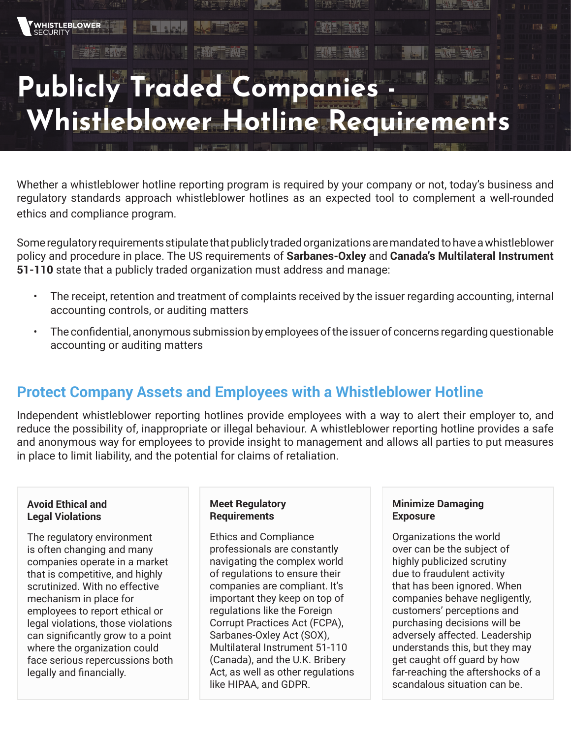# **Publicly Traded Companies - Whistleblower Hotline Requirements**

Whether a whistleblower hotline reporting program is required by your company or not, today's business and regulatory standards approach whistleblower hotlines as an expected tool to complement a well-rounded ethics and compliance program.

Some regulatory requirements stipulate that publicly traded organizations are mandated to have a whistleblower policy and procedure in place. The US requirements of **Sarbanes-Oxley** and **Canada's Multilateral Instrument 51-110** state that a publicly traded organization must address and manage:

- The receipt, retention and treatment of complaints received by the issuer regarding accounting, internal accounting controls, or auditing matters
- The confidential, anonymous submission by employees of the issuer of concerns regarding questionable accounting or auditing matters

# **Protect Company Assets and Employees with a Whistleblower Hotline**

Independent whistleblower reporting hotlines provide employees with a way to alert their employer to, and reduce the possibility of, inappropriate or illegal behaviour. A whistleblower reporting hotline provides a safe and anonymous way for employees to provide insight to management and allows all parties to put measures in place to limit liability, and the potential for claims of retaliation.

## **Avoid Ethical and Legal Violations**

WHISTLEBLOWER

The regulatory environment is often changing and many companies operate in a market that is competitive, and highly scrutinized. With no effective mechanism in place for employees to report ethical or legal violations, those violations can significantly grow to a point where the organization could face serious repercussions both legally and financially.

## **Meet Regulatory Requirements**

Ethics and Compliance professionals are constantly navigating the complex world of regulations to ensure their companies are compliant. It's important they keep on top of regulations like the Foreign Corrupt Practices Act (FCPA), Sarbanes-Oxley Act (SOX), Multilateral Instrument 51-110 (Canada), and the U.K. Bribery Act, as well as other regulations like HIPAA, and GDPR.

# **Minimize Damaging Exposure**

Organizations the world over can be the subject of highly publicized scrutiny due to fraudulent activity that has been ignored. When companies behave negligently, customers' perceptions and purchasing decisions will be adversely affected. Leadership understands this, but they may get caught off guard by how far-reaching the aftershocks of a scandalous situation can be.